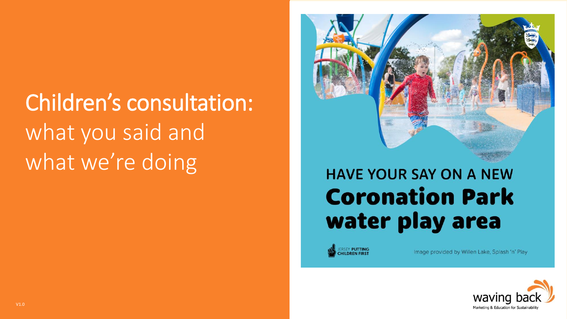# Children's consultation: what you said and what we're doing



### **HAVE YOUR SAY ON A NEW Coronation Park** water play area

**ERSEY PUTTING**<br>HILDREN FIRST

Image provided by Willen Lake, Splash 'n' Play

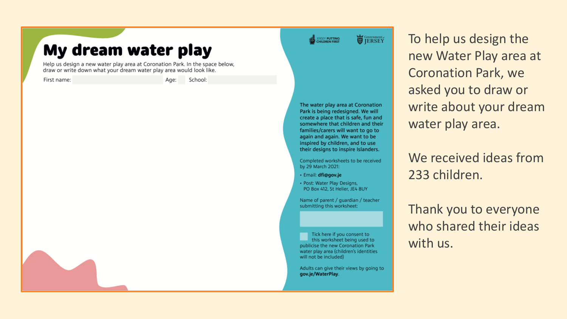#### My dream water play

Help us design a new water play area at Coronation Park. In the space below, draw or write down what your dream water play area would look like.

First name:

Age: School:

Government **ERSEY PUTTING** 

The water play area at Coronation Park is being redesigned. We will create a place that is safe, fun and somewhere that children and their families/carers will want to go to again and again. We want to be inspired by children, and to use their designs to inspire Islanders.

Completed worksheets to be received by 29 March 2021:

- · Email: dfi@gov.je
- · Post: Water Play Designs, PO Box 412, St Helier, JE4 8UY

Name of parent / guardian / teacher submitting this worksheet:

Tick here if you consent to this worksheet being used to publicise the new Coronation Park water play area (children's identities will not be included)

Adults can give their views by going to gov.je/WaterPlay.

To help us design the new Water Play area at Coronation Park, we asked you to draw or write about your dream water play area.

We received ideas from 233 children.

Thank you to everyone who shared their ideas with us.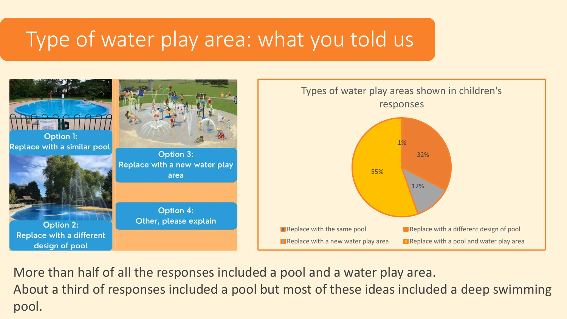### Type of water play area: what you told us



More than half of all the responses included a pool and a water play area. About a third of responses included a pool but most of these ideas included a deep swimming pool.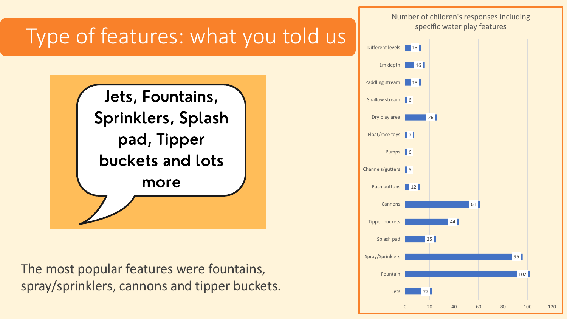

The most popular features were fountains, spray/sprinklers, cannons and tipper buckets.

22  $102$ 96  $25$ 44 61 Push buttons | 12 Channels/gutters 5 Pumps 6 Float/race toys 7  $26$ Shallow stream 6 Paddling stream 13 1m depth 16 Different levels | 13 0 20 40 60 80 100 120 Jets Fountain Spray/Sprinklers Splash pad Tipper buckets Cannons Dry play area Number of children's responses including specific water play features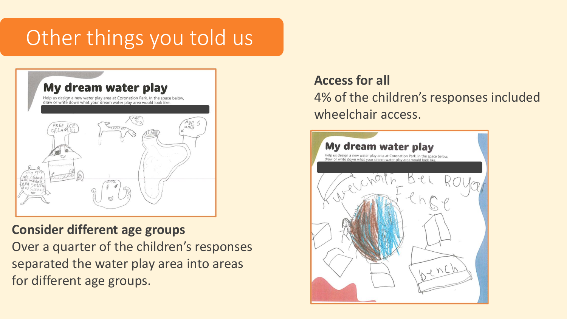## Other things you told us



**Consider different age groups**  Over a quarter of the children's responses separated the water play area into areas for different age groups.

#### **Access for all**

4% of the children's responses included wheelchair access.

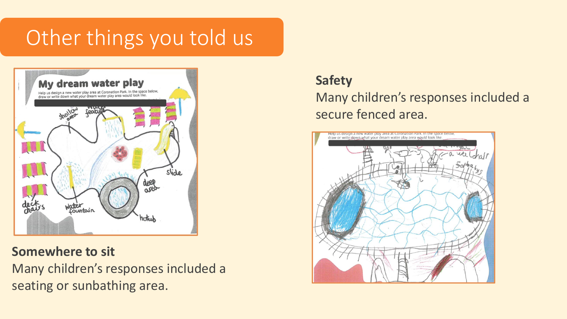## Other things you told us



#### **Somewhere to sit**

Many children's responses included a seating or sunbathing area.

#### **Safety**

Many children's responses included a secure fenced area.

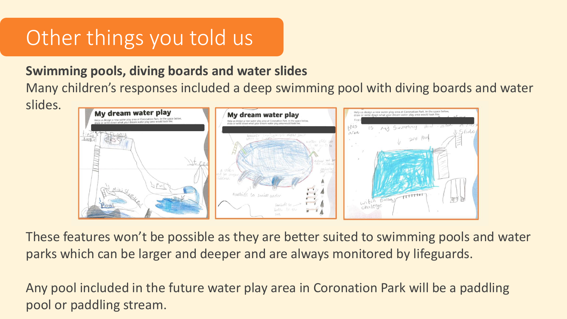## Other things you told us

#### **Swimming pools, diving boards and water slides**

Many children's responses included a deep swimming pool with diving boards and water

slides.



These features won't be possible as they are better suited to swimming pools and water parks which can be larger and deeper and are always monitored by lifeguards.

Any pool included in the future water play area in Coronation Park will be a paddling pool or paddling stream.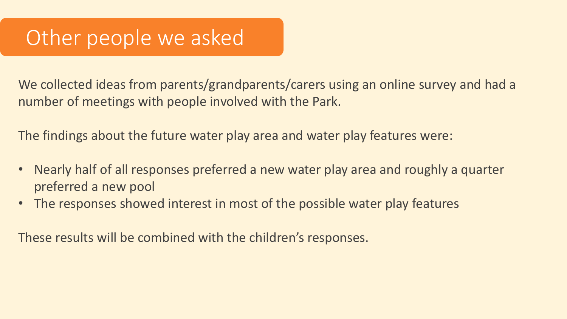### Other people we asked

We collected ideas from parents/grandparents/carers using an online survey and had a number of meetings with people involved with the Park.

The findings about the future water play area and water play features were:

- Nearly half of all responses preferred a new water play area and roughly a quarter preferred a new pool
- The responses showed interest in most of the possible water play features

These results will be combined with the children's responses.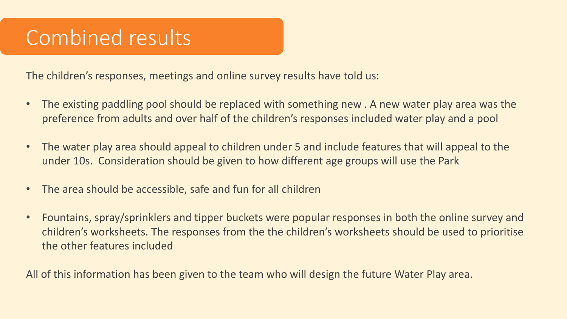## Combined results

The children's responses, meetings and online survey results have told us:

- The existing paddling pool should be replaced with something new . A new water play area was the preference from adults and over half of the children's responses included water play and a pool
- The water play area should appeal to children under 5 and include features that will appeal to the under 10s. Consideration should be given to how different age groups will use the Park
- The area should be accessible, safe and fun for all children
- Fountains, spray/sprinklers and tipper buckets were popular responses in both the online survey and children's worksheets. The responses from the the children's worksheets should be used to prioritise the other features included

All of this information has been given to the team who will design the future Water Play area.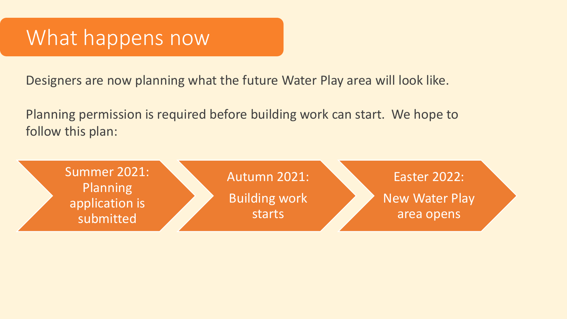### What happens now

Designers are now planning what the future Water Play area will look like.

Planning permission is required before building work can start. We hope to follow this plan: